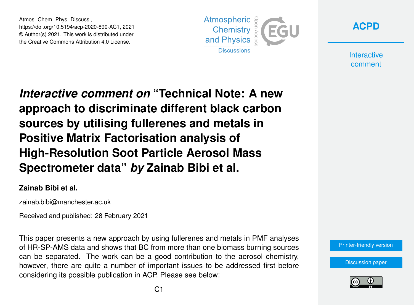Atmos. Chem. Phys. Discuss., https://doi.org/10.5194/acp-2020-890-AC1, 2021 © Author(s) 2021. This work is distributed under the Creative Commons Attribution 4.0 License.





**Interactive** comment

*Interactive comment on* **"Technical Note: A new approach to discriminate different black carbon sources by utilising fullerenes and metals in Positive Matrix Factorisation analysis of High-Resolution Soot Particle Aerosol Mass Spectrometer data"** *by* **Zainab Bibi et al.**

## **Zainab Bibi et al.**

zainab.bibi@manchester.ac.uk

Received and published: 28 February 2021

This paper presents a new approach by using fullerenes and metals in PMF analyses of HR-SP-AMS data and shows that BC from more than one biomass burning sources can be separated. The work can be a good contribution to the aerosol chemistry, however, there are quite a number of important issues to be addressed first before considering its possible publication in ACP. Please see below:

[Printer-friendly version](https://acp.copernicus.org/preprints/acp-2020-890/acp-2020-890-AC1-print.pdf)

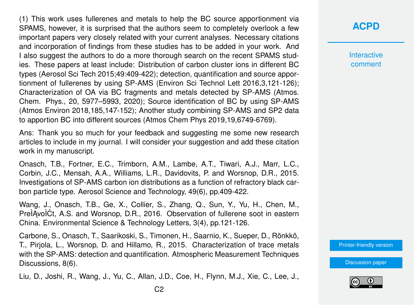(1) This work uses fullerenes and metals to help the BC source apportionment via SPAMS, however, it is surprised that the authors seem to completely overlook a few important papers very closely related with your current analyses. Necessary citations and incorporation of findings from these studies has to be added in your work. And I also suggest the authors to do a more thorough search on the recent SPAMS studies. These papers at least include: Distribution of carbon cluster ions in different BC types (Aerosol Sci Tech 2015;49:409-422); detection, quantification and source apportionment of fullerenes by using SP-AMS (Environ Sci Technol Lett 2016,3,121-126); Characterization of OA via BC fragments and metals detected by SP-AMS (Atmos. Chem. Phys., 20, 5977–5993, 2020); Source identification of BC by using SP-AMS (Atmos Environ 2018,185,147-152); Another study combining SP-AMS and SP2 data to apportion BC into different sources (Atmos Chem Phys 2019,19,6749-6769).

Ans: Thank you so much for your feedback and suggesting me some new research articles to include in my journal. I will consider your suggestion and add these citation work in my manuscript.

Onasch, T.B., Fortner, E.C., Trimborn, A.M., Lambe, A.T., Tiwari, A.J., Marr, L.C., Corbin, J.C., Mensah, A.A., Williams, L.R., Davidovits, P. and Worsnop, D.R., 2015. Investigations of SP-AMS carbon ion distributions as a function of refractory black carbon particle type. Aerosol Science and Technology, 49(6), pp.409-422.

Wang, J., Onasch, T.B., Ge, X., Collier, S., Zhang, Q., Sun, Y., Yu, H., Chen, M., PreÌAvoÌĆt, A.S. and Worsnop, D.R., 2016. Observation of fullerene soot in eastern China. Environmental Science & Technology Letters, 3(4), pp.121-126.

Carbone, S., Onasch, T., Saarikoski, S., Timonen, H., Saarnio, K., Sueper, D., Rönkkö, T., Pirjola, L., Worsnop, D. and Hillamo, R., 2015. Characterization of trace metals with the SP-AMS: detection and quantification. Atmospheric Measurement Techniques Discussions, 8(6).

Liu, D., Joshi, R., Wang, J., Yu, C., Allan, J.D., Coe, H., Flynn, M.J., Xie, C., Lee, J.,

**Interactive** comment

[Printer-friendly version](https://acp.copernicus.org/preprints/acp-2020-890/acp-2020-890-AC1-print.pdf)

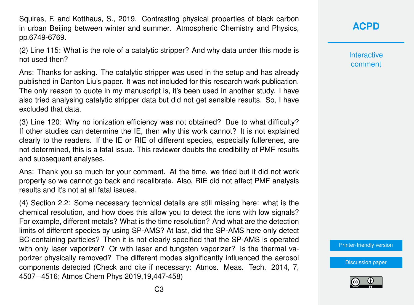Squires, F. and Kotthaus, S., 2019. Contrasting physical properties of black carbon in urban Beijing between winter and summer. Atmospheric Chemistry and Physics, pp.6749-6769.

(2) Line 115: What is the role of a catalytic stripper? And why data under this mode is not used then?

Ans: Thanks for asking. The catalytic stripper was used in the setup and has already published in Danton Liu's paper. It was not included for this research work publication. The only reason to quote in my manuscript is, it's been used in another study. I have also tried analysing catalytic stripper data but did not get sensible results. So, I have excluded that data.

(3) Line 120: Why no ionization efficiency was not obtained? Due to what difficulty? If other studies can determine the IE, then why this work cannot? It is not explained clearly to the readers. If the IE or RIE of different species, especially fullerenes, are not determined, this is a fatal issue. This reviewer doubts the credibility of PMF results and subsequent analyses.

Ans: Thank you so much for your comment. At the time, we tried but it did not work properly so we cannot go back and recalibrate. Also, RIE did not affect PMF analysis results and it's not at all fatal issues.

(4) Section 2.2: Some necessary technical details are still missing here: what is the chemical resolution, and how does this allow you to detect the ions with low signals? For example, different metals? What is the time resolution? And what are the detection limits of different species by using SP-AMS? At last, did the SP-AMS here only detect BC-containing particles? Then it is not clearly specified that the SP-AMS is operated with only laser vaporizer? Or with laser and tungsten vaporizer? Is the thermal vaporizer physically removed? The different modes significantly influenced the aerosol components detected (Check and cite if necessary: Atmos. Meas. Tech. 2014, 7, 4507−4516; Atmos Chem Phys 2019,19,447-458)

**[ACPD](https://acp.copernicus.org/preprints/)**

**Interactive** comment

[Printer-friendly version](https://acp.copernicus.org/preprints/acp-2020-890/acp-2020-890-AC1-print.pdf)

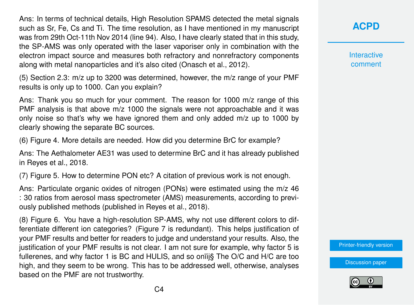Ans: In terms of technical details, High Resolution SPAMS detected the metal signals such as Sr, Fe, Cs and Ti. The time resolution, as I have mentioned in my manuscript was from 29th Oct-11th Nov 2014 (line 94). Also, I have clearly stated that in this study, the SP-AMS was only operated with the laser vaporiser only in combination with the electron impact source and measures both refractory and nonrefractory components along with metal nanoparticles and it's also cited (Onasch et al., 2012).

(5) Section 2.3: m/z up to 3200 was determined, however, the m/z range of your PMF results is only up to 1000. Can you explain?

Ans: Thank you so much for your comment. The reason for 1000 m/z range of this PMF analysis is that above m/z 1000 the signals were not approachable and it was only noise so that's why we have ignored them and only added m/z up to 1000 by clearly showing the separate BC sources.

(6) Figure 4. More details are needed. How did you determine BrC for example?

Ans: The Aethalometer AE31 was used to determine BrC and it has already published in Reyes et al., 2018.

(7) Figure 5. How to determine PON etc? A citation of previous work is not enough.

Ans: Particulate organic oxides of nitrogen (PONs) were estimated using the m/z 46 : 30 ratios from aerosol mass spectrometer (AMS) measurements, according to previously published methods (published in Reyes et al., 2018).

(8) Figure 6. You have a high-resolution SP-AMS, why not use different colors to differentiate different ion categories? (Figure 7 is redundant). This helps justification of your PMF results and better for readers to judge and understand your results. Also, the justification of your PMF results is not clear. I am not sure for example, why factor 5 is fullerenes, and why factor 1 is BC and HULIS, and so onïij§ The O/C and H/C are too high, and they seem to be wrong. This has to be addressed well, otherwise, analyses based on the PMF are not trustworthy.

**[ACPD](https://acp.copernicus.org/preprints/)**

**Interactive** comment

[Printer-friendly version](https://acp.copernicus.org/preprints/acp-2020-890/acp-2020-890-AC1-print.pdf)

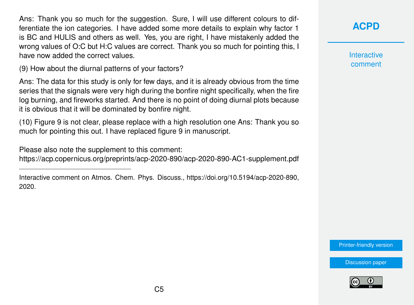Ans: Thank you so much for the suggestion. Sure, I will use different colours to differentiate the ion categories. I have added some more details to explain why factor 1 is BC and HULIS and others as well. Yes, you are right, I have mistakenly added the wrong values of O:C but H:C values are correct. Thank you so much for pointing this, I have now added the correct values.

(9) How about the diurnal patterns of your factors?

Ans: The data for this study is only for few days, and it is already obvious from the time series that the signals were very high during the bonfire night specifically, when the fire log burning, and fireworks started. And there is no point of doing diurnal plots because it is obvious that it will be dominated by bonfire night.

(10) Figure 9 is not clear, please replace with a high resolution one Ans: Thank you so much for pointing this out. I have replaced figure 9 in manuscript.

Please also note the supplement to this comment:

<https://acp.copernicus.org/preprints/acp-2020-890/acp-2020-890-AC1-supplement.pdf>

**[ACPD](https://acp.copernicus.org/preprints/)**

**Interactive** comment

[Printer-friendly version](https://acp.copernicus.org/preprints/acp-2020-890/acp-2020-890-AC1-print.pdf)



Interactive comment on Atmos. Chem. Phys. Discuss., https://doi.org/10.5194/acp-2020-890, 2020.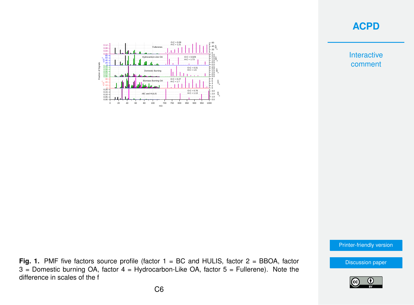## **[ACPD](https://acp.copernicus.org/preprints/)**

Interactive comment



[Printer-friendly version](https://acp.copernicus.org/preprints/acp-2020-890/acp-2020-890-AC1-print.pdf)

[Discussion paper](https://acp.copernicus.org/preprints/acp-2020-890)



C6

difference in scales of the f

**Fig. 1.** PMF five factors source profile (factor 1 = BC and HULIS, factor 2 = BBOA, factor  $3$  = Domestic burning OA, factor  $4$  = Hydrocarbon-Like OA, factor  $5$  = Fullerene). Note the